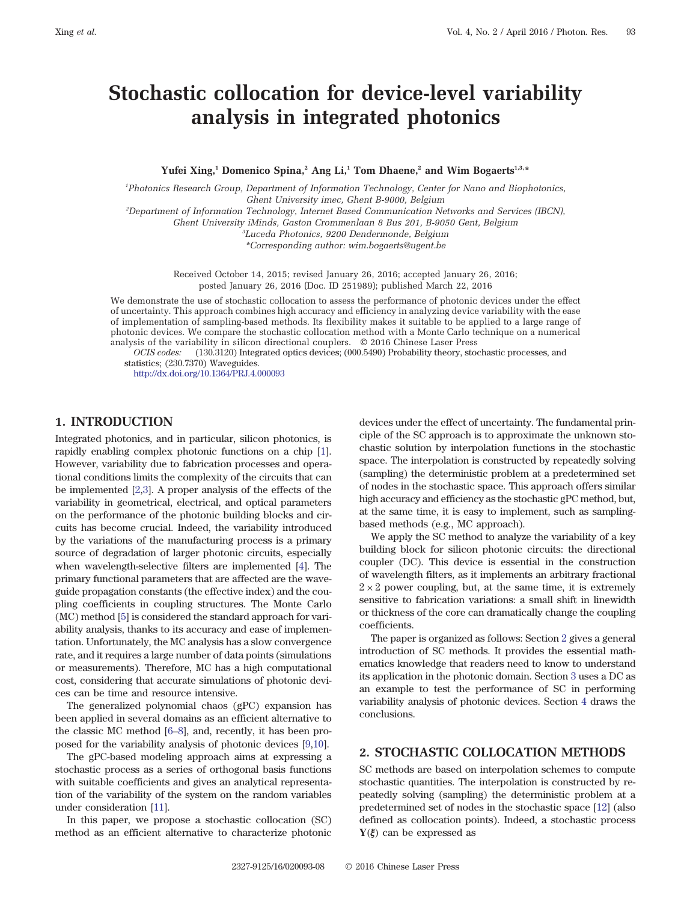# <span id="page-0-0"></span>Stochastic collocation for device-level variability analysis in integrated photonics

Yufei Xing,<sup>1</sup> Domenico Spina,<sup>2</sup> Ang Li,<sup>1</sup> Tom Dhaene,<sup>2</sup> and Wim Bogaerts<sup>1,3,\*</sup>

<sup>1</sup>Photonics Research Group, Department of Information Technology, Center for Nano and Biophotonics, Ghent University imec, Ghent B-9000, Belgium

2 Department of Information Technology, Internet Based Communication Networks and Services (IBCN),

Ghent University iMinds, Gaston Crommenlaan 8 Bus 201, B-9050 Gent, Belgium

3 Luceda Photonics, 9200 Dendermonde, Belgium

\*Corresponding author: [wim.bogaerts@ugent.be](mailto:wim.bogaerts@ugent.be)

Received October 14, 2015; revised January 26, 2016; accepted January 26, 2016; posted January 26, 2016 (Doc. ID 251989); published March 22, 2016

We demonstrate the use of stochastic collocation to assess the performance of photonic devices under the effect of uncertainty. This approach combines high accuracy and efficiency in analyzing device variability with the ease of implementation of sampling-based methods. Its flexibility makes it suitable to be applied to a large range of photonic devices. We compare the stochastic collocation method with a Monte Carlo technique on a numerical analysis of the variability in silicon directional couplers. © 2016 Chinese Laser Press

OCIS codes: (130.3120) Integrated optics devices; (000.5490) Probability theory, stochastic processes, and statistics; (230.7370) Waveguides.

<http://dx.doi.org/10.1364/PRJ.4.000093>

## 1. INTRODUCTION

Integrated photonics, and in particular, silicon photonics, is rapidly enabling complex photonic functions on a chip [\[1\]](#page-6-0). However, variability due to fabrication processes and operational conditions limits the complexity of the circuits that can be implemented [\[2,3\]](#page-6-0). A proper analysis of the effects of the variability in geometrical, electrical, and optical parameters on the performance of the photonic building blocks and circuits has become crucial. Indeed, the variability introduced by the variations of the manufacturing process is a primary source of degradation of larger photonic circuits, especially when wavelength-selective filters are implemented [\[4](#page-6-0)]. The primary functional parameters that are affected are the waveguide propagation constants (the effective index) and the coupling coefficients in coupling structures. The Monte Carlo (MC) method [\[5](#page-6-0)] is considered the standard approach for variability analysis, thanks to its accuracy and ease of implementation. Unfortunately, the MC analysis has a slow convergence rate, and it requires a large number of data points (simulations or measurements). Therefore, MC has a high computational cost, considering that accurate simulations of photonic devices can be time and resource intensive.

The generalized polynomial chaos (gPC) expansion has been applied in several domains as an efficient alternative to the classic MC method [[6](#page-6-0)–[8](#page-6-0)], and, recently, it has been proposed for the variability analysis of photonic devices [\[9,10\]](#page-6-0).

The gPC-based modeling approach aims at expressing a stochastic process as a series of orthogonal basis functions with suitable coefficients and gives an analytical representation of the variability of the system on the random variables under consideration [[11\]](#page-6-0).

In this paper, we propose a stochastic collocation (SC) method as an efficient alternative to characterize photonic

devices under the effect of uncertainty. The fundamental principle of the SC approach is to approximate the unknown stochastic solution by interpolation functions in the stochastic space. The interpolation is constructed by repeatedly solving (sampling) the deterministic problem at a predetermined set of nodes in the stochastic space. This approach offers similar high accuracy and efficiency as the stochastic gPC method, but, at the same time, it is easy to implement, such as samplingbased methods (e.g., MC approach).

We apply the SC method to analyze the variability of a key building block for silicon photonic circuits: the directional coupler (DC). This device is essential in the construction of wavelength filters, as it implements an arbitrary fractional  $2 \times 2$  power coupling, but, at the same time, it is extremely sensitive to fabrication variations: a small shift in linewidth or thickness of the core can dramatically change the coupling coefficients.

The paper is organized as follows: Section 2 gives a general introduction of SC methods. It provides the essential mathematics knowledge that readers need to know to understand its application in the photonic domain. Section [3](#page-1-0) uses a DC as an example to test the performance of SC in performing variability analysis of photonic devices. Section [4](#page-5-0) draws the conclusions.

## 2. STOCHASTIC COLLOCATION METHODS

SC methods are based on interpolation schemes to compute stochastic quantities. The interpolation is constructed by repeatedly solving (sampling) the deterministic problem at a predetermined set of nodes in the stochastic space [\[12](#page-6-0)] (also defined as collocation points). Indeed, a stochastic process  $Y(\xi)$  can be expressed as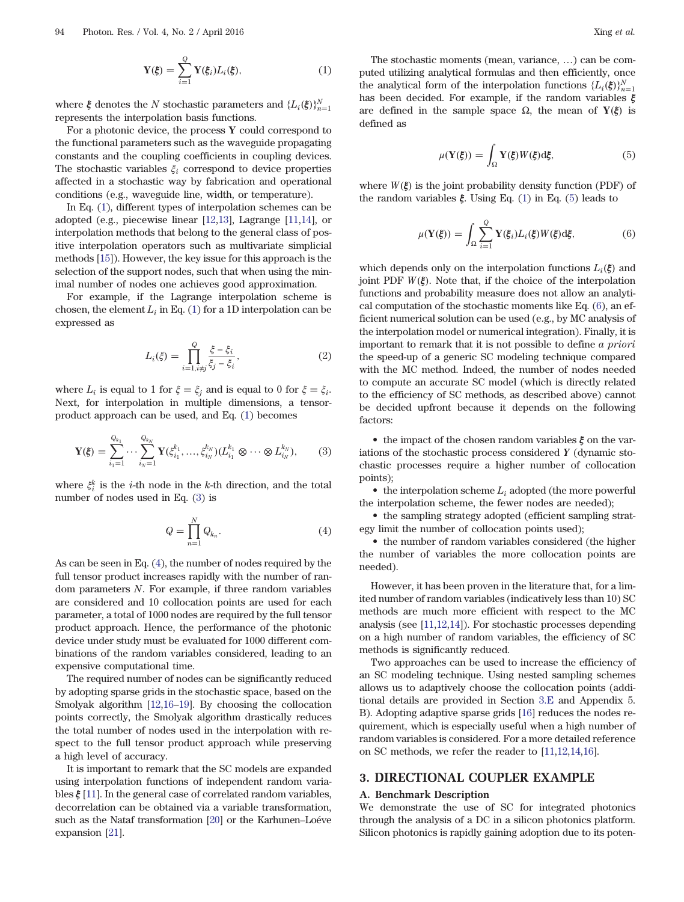$$
\mathbf{Y}(\boldsymbol{\xi}) = \sum_{i=1}^{Q} \mathbf{Y}(\boldsymbol{\xi}_i) L_i(\boldsymbol{\xi}), \qquad (1)
$$

<span id="page-1-0"></span>where  $\xi$  denotes the N stochastic parameters and  $\{L_i(\xi)\}_{n=1}^N$ <br>represents the internalition besis functions represents the interpolation basis functions.

For a photonic device, the process  $Y$  could correspond to the functional parameters such as the waveguide propagating constants and the coupling coefficients in coupling devices. The stochastic variables  $\xi_i$  correspond to device properties affected in a stochastic way by fabrication and operational conditions (e.g., waveguide line, width, or temperature).

In Eq. ([1](#page-0-0)), different types of interpolation schemes can be adopted (e.g., piecewise linear [\[12](#page-6-0),[13\]](#page-6-0), Lagrange [\[11](#page-6-0),[14\]](#page-6-0), or interpolation methods that belong to the general class of positive interpolation operators such as multivariate simplicial methods [[15\]](#page-6-0)). However, the key issue for this approach is the selection of the support nodes, such that when using the minimal number of nodes one achieves good approximation.

For example, if the Lagrange interpolation scheme is chosen, the element  $L_i$  in Eq. ([1](#page-0-0)) for a 1D interpolation can be expressed as

$$
L_i(\xi) = \prod_{i=1, i \neq j}^{Q} \frac{\xi - \xi_i}{\xi_j - \xi_i},
$$
\n(2)

where  $L_i$  is equal to 1 for  $\xi = \xi_i$  and is equal to 0 for  $\xi = \xi_i$ . Next, for interpolation in multiple dimensions, a tensorproduct approach can be used, and Eq. [\(1\)](#page-0-0) becomes

$$
\mathbf{Y}(\xi) = \sum_{i_1=1}^{Q_{k_1}} \cdots \sum_{i_N=1}^{Q_{k_N}} \mathbf{Y}(\xi_{i_1}^{k_1}, \dots, \xi_{i_N}^{k_N}) (L_{i_1}^{k_1} \otimes \cdots \otimes L_{i_N}^{k_N}), \qquad (3)
$$

where  $\xi_i^k$  is the *i*-th node in the *k*-th direction, and the total<br>number of nodes used in Eq. (3) is number of nodes used in Eq. (3) is

$$
Q = \prod_{n=1}^{N} Q_{k_n}.
$$
\n(4)

As can be seen in Eq. (4), the number of nodes required by the full tensor product increases rapidly with the number of random parameters N. For example, if three random variables are considered and 10 collocation points are used for each parameter, a total of 1000 nodes are required by the full tensor product approach. Hence, the performance of the photonic device under study must be evaluated for 1000 different combinations of the random variables considered, leading to an expensive computational time.

The required number of nodes can be significantly reduced by adopting sparse grids in the stochastic space, based on the Smolyak algorithm [[12,16](#page-6-0)–[19](#page-7-0)]. By choosing the collocation points correctly, the Smolyak algorithm drastically reduces the total number of nodes used in the interpolation with respect to the full tensor product approach while preserving a high level of accuracy.

It is important to remark that the SC models are expanded using interpolation functions of independent random variables  $\xi$  [[11\]](#page-6-0). In the general case of correlated random variables, decorrelation can be obtained via a variable transformation, such as the Nataf transformation [\[20\]](#page-7-0) or the Karhunen–Loéve expansion [\[21](#page-7-0)].

The stochastic moments (mean, variance, …) can be computed utilizing analytical formulas and then efficiently, once the analytical form of the interpolation functions  $\{L_i(\xi)\}_{n=1}^N$ the analytical form of the interpolation functions  $\{\mathcal{L}_i(\xi)\}_{i=1}^n$  has been decided. For example, if the random variables  $\xi$ are defined in the sample space  $Ω$ , the mean of  $Y(ξ)$  is defined as

$$
\mu(\mathbf{Y}(\xi)) = \int_{\Omega} \mathbf{Y}(\xi) W(\xi) d\xi, \tag{5}
$$

where  $W(\xi)$  is the joint probability density function (PDF) of the random variables  $\xi$ . Using Eq. [\(1\)](#page-0-0) in Eq. (5) leads to

$$
\mu(\mathbf{Y}(\xi)) = \int_{\Omega} \sum_{i=1}^{Q} \mathbf{Y}(\xi_i) L_i(\xi) W(\xi) d\xi,
$$
 (6)

which depends only on the interpolation functions  $L_i(\xi)$  and joint PDF  $W(\xi)$ . Note that, if the choice of the interpolation functions and probability measure does not allow an analytical computation of the stochastic moments like Eq. (6), an efficient numerical solution can be used (e.g., by MC analysis of the interpolation model or numerical integration). Finally, it is important to remark that it is not possible to define a priori the speed-up of a generic SC modeling technique compared with the MC method. Indeed, the number of nodes needed to compute an accurate SC model (which is directly related to the efficiency of SC methods, as described above) cannot be decided upfront because it depends on the following factors:

• the impact of the chosen random variables  $\xi$  on the variations of the stochastic process considered Y (dynamic stochastic processes require a higher number of collocation points);

• the interpolation scheme  $L_i$  adopted (the more powerful the interpolation scheme, the fewer nodes are needed);

• the sampling strategy adopted (efficient sampling strategy limit the number of collocation points used);

• the number of random variables considered (the higher the number of variables the more collocation points are needed).

However, it has been proven in the literature that, for a limited number of random variables (indicatively less than 10) SC methods are much more efficient with respect to the MC analysis (see [\[11,12](#page-6-0),[14\]](#page-6-0)). For stochastic processes depending on a high number of random variables, the efficiency of SC methods is significantly reduced.

Two approaches can be used to increase the efficiency of an SC modeling technique. Using nested sampling schemes allows us to adaptively choose the collocation points (additional details are provided in Section [3.E](#page-3-0) and Appendix 5. B). Adopting adaptive sparse grids [[16\]](#page-6-0) reduces the nodes requirement, which is especially useful when a high number of random variables is considered. For a more detailed reference on SC methods, we refer the reader to [[11,12,14,16\]](#page-6-0).

#### 3. DIRECTIONAL COUPLER EXAMPLE

#### A. Benchmark Description

We demonstrate the use of SC for integrated photonics through the analysis of a DC in a silicon photonics platform. Silicon photonics is rapidly gaining adoption due to its poten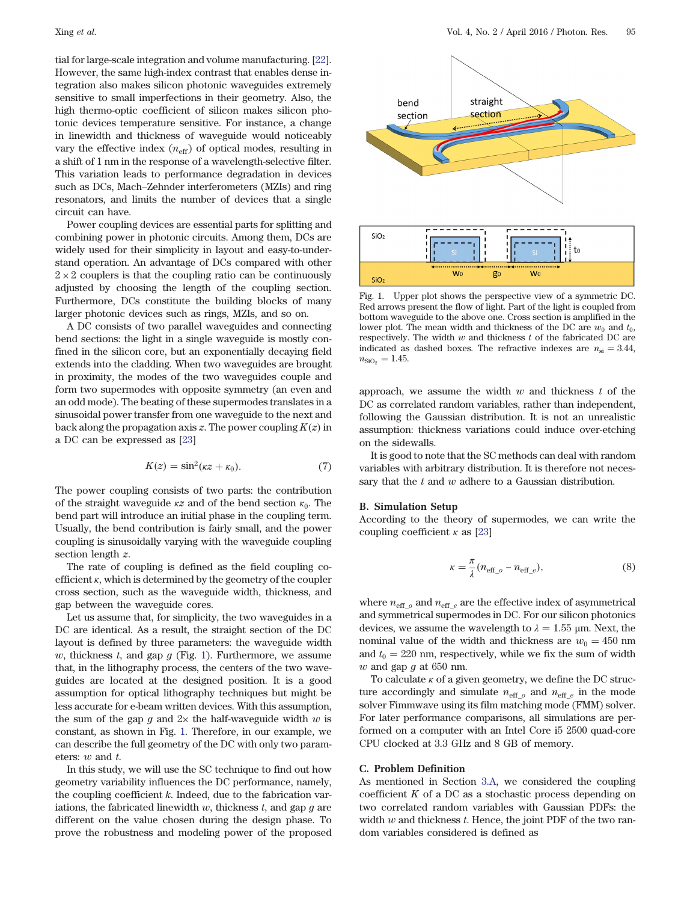<span id="page-2-0"></span>tial for large-scale integration and volume manufacturing. [[22\]](#page-7-0). However, the same high-index contrast that enables dense integration also makes silicon photonic waveguides extremely sensitive to small imperfections in their geometry. Also, the high thermo-optic coefficient of silicon makes silicon photonic devices temperature sensitive. For instance, a change in linewidth and thickness of waveguide would noticeably vary the effective index  $(n_{\text{eff}})$  of optical modes, resulting in a shift of 1 nm in the response of a wavelength-selective filter. This variation leads to performance degradation in devices such as DCs, Mach–Zehnder interferometers (MZIs) and ring resonators, and limits the number of devices that a single circuit can have.

Power coupling devices are essential parts for splitting and combining power in photonic circuits. Among them, DCs are widely used for their simplicity in layout and easy-to-understand operation. An advantage of DCs compared with other  $2 \times 2$  couplers is that the coupling ratio can be continuously adjusted by choosing the length of the coupling section. Furthermore, DCs constitute the building blocks of many larger photonic devices such as rings, MZIs, and so on.

A DC consists of two parallel waveguides and connecting bend sections: the light in a single waveguide is mostly confined in the silicon core, but an exponentially decaying field extends into the cladding. When two waveguides are brought in proximity, the modes of the two waveguides couple and form two supermodes with opposite symmetry (an even and an odd mode). The beating of these supermodes translates in a sinusoidal power transfer from one waveguide to the next and back along the propagation axis  $z$ . The power coupling  $K(z)$  in a DC can be expressed as [\[23](#page-7-0)]

$$
K(z) = \sin^2(\kappa z + \kappa_0). \tag{7}
$$

The power coupling consists of two parts: the contribution of the straight waveguide  $\kappa z$  and of the bend section  $\kappa_0$ . The bend part will introduce an initial phase in the coupling term. Usually, the bend contribution is fairly small, and the power coupling is sinusoidally varying with the waveguide coupling section length  $z$ .

The rate of coupling is defined as the field coupling coefficient  $\kappa$ , which is determined by the geometry of the coupler cross section, such as the waveguide width, thickness, and gap between the waveguide cores.

Let us assume that, for simplicity, the two waveguides in a DC are identical. As a result, the straight section of the DC layout is defined by three parameters: the waveguide width w, thickness  $t$ , and gap  $g$  (Fig. 1). Furthermore, we assume that, in the lithography process, the centers of the two waveguides are located at the designed position. It is a good assumption for optical lithography techniques but might be less accurate for e-beam written devices. With this assumption, the sum of the gap g and  $2\times$  the half-waveguide width w is constant, as shown in Fig. 1. Therefore, in our example, we can describe the full geometry of the DC with only two parameters: w and t.

In this study, we will use the SC technique to find out how geometry variability influences the DC performance, namely, the coupling coefficient  $k$ . Indeed, due to the fabrication variations, the fabricated linewidth  $w$ , thickness  $t$ , and gap  $g$  are different on the value chosen during the design phase. To prove the robustness and modeling power of the proposed



Fig. 1. Upper plot shows the perspective view of a symmetric DC. Red arrows present the flow of light. Part of the light is coupled from bottom waveguide to the above one. Cross section is amplified in the lower plot. The mean width and thickness of the DC are  $w_0$  and  $t_0$ , respectively. The width  $w$  and thickness  $t$  of the fabricated DC are indicated as dashed boxes. The refractive indexes are  $n_{\rm si} = 3.44$ ,  $n_{\text{SiO}_2} = 1.45.$ 

approach, we assume the width  $w$  and thickness  $t$  of the DC as correlated random variables, rather than independent, following the Gaussian distribution. It is not an unrealistic assumption: thickness variations could induce over-etching on the sidewalls.

It is good to note that the SC methods can deal with random variables with arbitrary distribution. It is therefore not necessary that the  $t$  and  $w$  adhere to a Gaussian distribution.

#### B. Simulation Setup

According to the theory of supermodes, we can write the coupling coefficient  $\kappa$  as [\[23](#page-7-0)]

$$
\kappa = \frac{\pi}{\lambda} (n_{\text{eff}\_o} - n_{\text{eff}\_e}),\tag{8}
$$

where  $n_{\text{eff}}$  <sub>o</sub> and  $n_{\text{eff}}$  <sub>e</sub> are the effective index of asymmetrical and symmetrical supermodes in DC. For our silicon photonics devices, we assume the wavelength to  $\lambda = 1.55$  µm. Next, the nominal value of the width and thickness are  $w_0 = 450$  nm and  $t_0 = 220$  nm, respectively, while we fix the sum of width w and gap  $g$  at 650 nm.

To calculate  $\kappa$  of a given geometry, we define the DC structure accordingly and simulate  $n_{\text{eff}\_\text{o}}$  and  $n_{\text{eff}\_\text{e}}$  in the mode solver Fimmwave using its film matching mode (FMM) solver. For later performance comparisons, all simulations are performed on a computer with an Intel Core i5 2500 quad-core CPU clocked at 3.3 GHz and 8 GB of memory.

#### C. Problem Definition

As mentioned in Section [3.A,](#page-1-0) we considered the coupling coefficient  $K$  of a DC as a stochastic process depending on two correlated random variables with Gaussian PDFs: the width  $w$  and thickness  $t$ . Hence, the joint PDF of the two random variables considered is defined as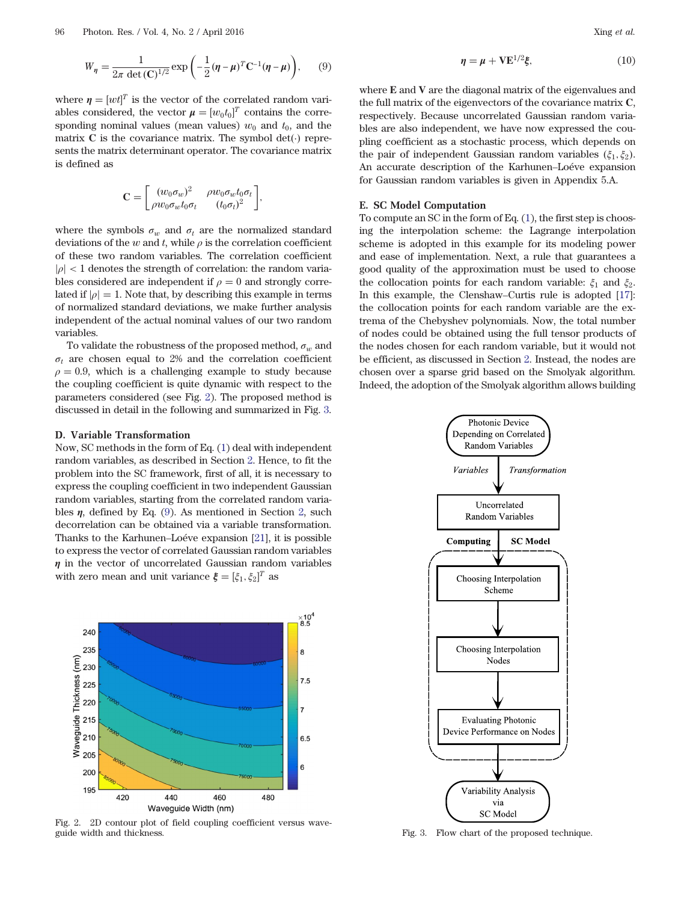<span id="page-3-0"></span>
$$
W_{\eta} = \frac{1}{2\pi \det(\mathbf{C})^{1/2}} \exp\left(-\frac{1}{2}(\eta - \mu)^{T} \mathbf{C}^{-1}(\eta - \mu)\right), \qquad (9)
$$

where  $\eta = [wt]^T$  is the vector of the correlated random vari-<br>ables considered, the vector  $u = [wt]^T$  contains the corre ables considered, the vector  $\mu = [w_0 t_0]^T$  contains the corre-<br>sponding nominal values (mean values)  $w_1$  and  $t_2$  and the sponding nominal values (mean values)  $w_0$  and  $t_0$ , and the matrix  $C$  is the covariance matrix. The symbol det( $\cdot$ ) represents the matrix determinant operator. The covariance matrix is defined as

$$
\mathbf{C} = \begin{bmatrix} (w_0 \sigma_w)^2 & \rho w_0 \sigma_w t_0 \sigma_t \\ \rho w_0 \sigma_w t_0 \sigma_t & (t_0 \sigma_t)^2 \end{bmatrix},
$$

where the symbols  $\sigma_w$  and  $\sigma_t$  are the normalized standard deviations of the w and t, while  $\rho$  is the correlation coefficient of these two random variables. The correlation coefficient  $|\rho|$  < 1 denotes the strength of correlation: the random variables considered are independent if  $\rho = 0$  and strongly correlated if  $|\rho| = 1$ . Note that, by describing this example in terms of normalized standard deviations, we make further analysis independent of the actual nominal values of our two random variables.

To validate the robustness of the proposed method,  $\sigma_w$  and  $\sigma_t$  are chosen equal to 2% and the correlation coefficient  $\rho = 0.9$ , which is a challenging example to study because the coupling coefficient is quite dynamic with respect to the parameters considered (see Fig. 2). The proposed method is discussed in detail in the following and summarized in Fig. 3.

#### D. Variable Transformation

Now, SC methods in the form of Eq. ([1](#page-0-0)) deal with independent random variables, as described in Section [2.](#page-0-0) Hence, to fit the problem into the SC framework, first of all, it is necessary to express the coupling coefficient in two independent Gaussian random variables, starting from the correlated random variables  $\eta$ , defined by Eq. [\(9\)](#page-2-0). As mentioned in Section [2,](#page-0-0) such decorrelation can be obtained via a variable transformation. Thanks to the Karhunen–Loéve expansion [\[21](#page-7-0)], it is possible to express the vector of correlated Gaussian random variables  $\eta$  in the vector of uncorrelated Gaussian random variables with zero mean and unit variance  $\xi = [\xi_1, \xi_2]^T$  as



Fig. 2. 2D contour plot of field coupling coefficient versus wave-

$$
\eta = \mu + V E^{1/2} \xi, \qquad (10)
$$

where E and V are the diagonal matrix of the eigenvalues and the full matrix of the eigenvectors of the covariance matrix C, respectively. Because uncorrelated Gaussian random variables are also independent, we have now expressed the coupling coefficient as a stochastic process, which depends on the pair of independent Gaussian random variables  $(\xi_1, \xi_2)$ . An accurate description of the Karhunen–Loéve expansion for Gaussian random variables is given in Appendix 5.A.

#### E. SC Model Computation

To compute an SC in the form of Eq. [\(1\)](#page-0-0), the first step is choosing the interpolation scheme: the Lagrange interpolation scheme is adopted in this example for its modeling power and ease of implementation. Next, a rule that guarantees a good quality of the approximation must be used to choose the collocation points for each random variable:  $\xi_1$  and  $\xi_2$ . In this example, the Clenshaw–Curtis rule is adopted [[17\]](#page-6-0): the collocation points for each random variable are the extrema of the Chebyshev polynomials. Now, the total number of nodes could be obtained using the full tensor products of the nodes chosen for each random variable, but it would not be efficient, as discussed in Section [2.](#page-0-0) Instead, the nodes are chosen over a sparse grid based on the Smolyak algorithm. Indeed, the adoption of the Smolyak algorithm allows building



Fig. 3. Flow chart of the proposed technique.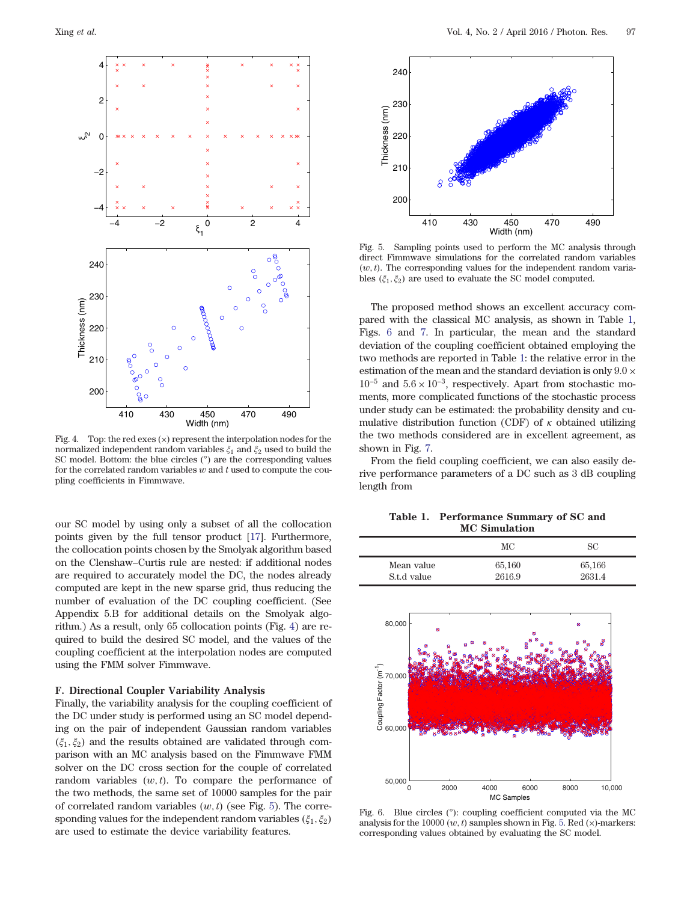

Fig. 4. Top: the red exes  $(x)$  represent the interpolation nodes for the normalized independent random variables  $\xi_1$  and  $\xi_2$  used to build the SC model. Bottom: the blue circles  $(°)$  are the corresponding values for the correlated random variables  $w$  and  $t$  used to compute the coupling coefficients in Fimmwave.

our SC model by using only a subset of all the collocation points given by the full tensor product [\[17](#page-6-0)]. Furthermore, the collocation points chosen by the Smolyak algorithm based on the Clenshaw–Curtis rule are nested: if additional nodes are required to accurately model the DC, the nodes already computed are kept in the new sparse grid, thus reducing the number of evaluation of the DC coupling coefficient. (See Appendix 5.B for additional details on the Smolyak algorithm.) As a result, only 65 collocation points (Fig. 4) are required to build the desired SC model, and the values of the coupling coefficient at the interpolation nodes are computed using the FMM solver Fimmwave.

#### F. Directional Coupler Variability Analysis

Finally, the variability analysis for the coupling coefficient of the DC under study is performed using an SC model depending on the pair of independent Gaussian random variables  $(\xi_1, \xi_2)$  and the results obtained are validated through comparison with an MC analysis based on the Fimmwave FMM solver on the DC cross section for the couple of correlated random variables  $(w, t)$ . To compare the performance of the two methods, the same set of 10000 samples for the pair of correlated random variables  $(w, t)$  (see Fig. 5). The corresponding values for the independent random variables  $(\xi_1, \xi_2)$ are used to estimate the device variability features.



Fig. 5. Sampling points used to perform the MC analysis through direct Fimmwave simulations for the correlated random variables  $(w, t)$ . The corresponding values for the independent random variables  $(\xi_1, \xi_2)$  are used to evaluate the SC model computed.

The proposed method shows an excellent accuracy compared with the classical MC analysis, as shown in Table 1, Figs. 6 and [7.](#page-5-0) In particular, the mean and the standard deviation of the coupling coefficient obtained employing the two methods are reported in Table 1: the relative error in the estimation of the mean and the standard deviation is only 9.0 ×  $10^{-5}$  and  $5.6 \times 10^{-3}$ , respectively. Apart from stochastic moments, more complicated functions of the stochastic process under study can be estimated: the probability density and cumulative distribution function (CDF) of  $\kappa$  obtained utilizing the two methods considered are in excellent agreement, as shown in Fig. [7.](#page-5-0)

From the field coupling coefficient, we can also easily derive performance parameters of a DC such as 3 dB coupling length from

Table 1. Performance Summary of SC and MC Simulation

|             | МC     | SС     |
|-------------|--------|--------|
| Mean value  | 65,160 | 65,166 |
| S.t.d value | 2616.9 | 2631.4 |



Fig. 6. Blue circles  $(°)$ : coupling coefficient computed via the MC analysis for the 10000  $(w, t)$  samples shown in Fig. 5. Red  $(x)$ -markers: corresponding values obtained by evaluating the SC model.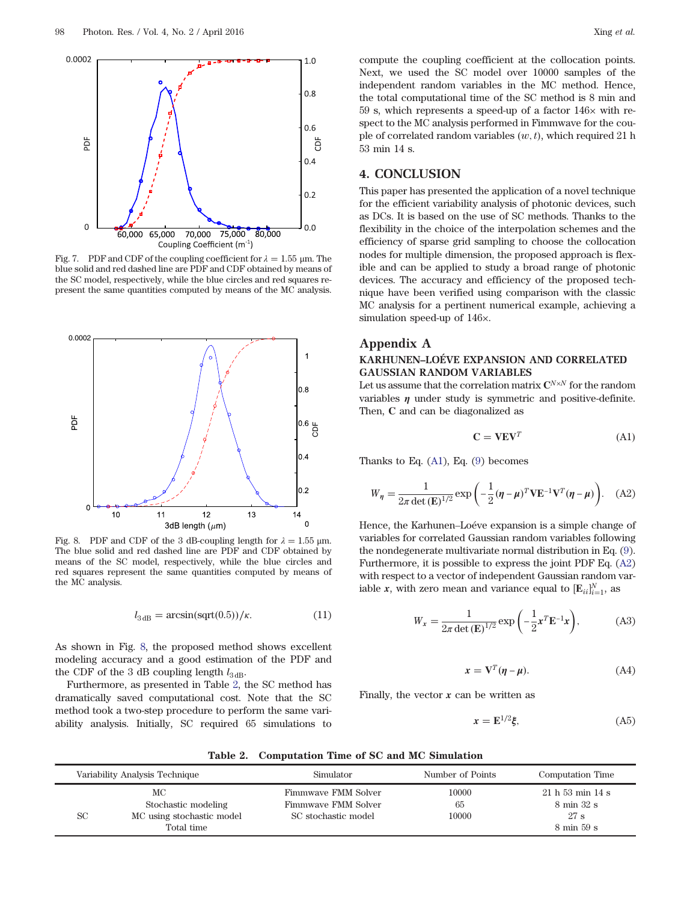<span id="page-5-0"></span>

Fig. 7. PDF and CDF of the coupling coefficient for  $\lambda = 1.55$  µm. The blue solid and red dashed line are PDF and CDF obtained by means of the SC model, respectively, while the blue circles and red squares represent the same quantities computed by means of the MC analysis.



Fig. 8. PDF and CDF of the 3 dB-coupling length for  $\lambda = 1.55$  µm. The blue solid and red dashed line are PDF and CDF obtained by means of the SC model, respectively, while the blue circles and red squares represent the same quantities computed by means of the MC analysis.

$$
l_{3\,\text{dB}} = \arcsin(\text{sqrt}(0.5))/\kappa. \tag{11}
$$

As shown in Fig. 8, the proposed method shows excellent modeling accuracy and a good estimation of the PDF and the CDF of the 3 dB coupling length  $l_{3 \text{dB}}$ .

Furthermore, as presented in Table 2, the SC method has dramatically saved computational cost. Note that the SC method took a two-step procedure to perform the same variability analysis. Initially, SC required 65 simulations to

compute the coupling coefficient at the collocation points. Next, we used the SC model over 10000 samples of the independent random variables in the MC method. Hence, the total computational time of the SC method is 8 min and 59 s, which represents a speed-up of a factor  $146\times$  with respect to the MC analysis performed in Fimmwave for the couple of correlated random variables  $(w, t)$ , which required 21 h 53 min 14 s.

## 4. CONCLUSION

This paper has presented the application of a novel technique for the efficient variability analysis of photonic devices, such as DCs. It is based on the use of SC methods. Thanks to the flexibility in the choice of the interpolation schemes and the efficiency of sparse grid sampling to choose the collocation nodes for multiple dimension, the proposed approach is flexible and can be applied to study a broad range of photonic devices. The accuracy and efficiency of the proposed technique have been verified using comparison with the classic MC analysis for a pertinent numerical example, achieving a simulation speed-up of 146×.

# Appendix A

### KARHUNEN–LOÉVE EXPANSION AND CORRELATED GAUSSIAN RANDOM VARIABLES

Let us assume that the correlation matrix  $\mathbf{C}^{N\times N}$  for the random variables  $\eta$  under study is symmetric and positive-definite. Then, C and can be diagonalized as

$$
\mathbf{C} = \mathbf{V} \mathbf{E} \mathbf{V}^T \tag{A1}
$$

Thanks to Eq.  $(A1)$ , Eq.  $(9)$  becomes

$$
W_{\eta} = \frac{1}{2\pi \det(\mathbf{E})^{1/2}} \exp\left(-\frac{1}{2}(\eta - \mu)^T \mathbf{V} \mathbf{E}^{-1} \mathbf{V}^T (\eta - \mu)\right).
$$
 (A2)

Hence, the Karhunen–Loéve expansion is a simple change of variables for correlated Gaussian random variables following the nondegenerate multivariate normal distribution in Eq. ([9](#page-2-0)). Furthermore, it is possible to express the joint PDF Eq. (A2) with respect to a vector of independent Gaussian random variable x, with zero mean and variance equal to  $[\mathbf{E}_{ii}]_{i=1}^N$ , as

$$
W_x = \frac{1}{2\pi \det(\mathbf{E})^{1/2}} \exp\left(-\frac{1}{2}\mathbf{x}^T \mathbf{E}^{-1} \mathbf{x}\right),\tag{A3}
$$

$$
x = \mathbf{V}^T(\eta - \mu). \tag{A4}
$$

Finally, the vector  $x$  can be written as

$$
x = \mathbf{E}^{1/2}\mathbf{\xi},\tag{A5}
$$

Table 2. Computation Time of SC and MC Simulation

| Variability Analysis Technique                                             | Simulator                                                         | Number of Points     | Computation Time                                                     |
|----------------------------------------------------------------------------|-------------------------------------------------------------------|----------------------|----------------------------------------------------------------------|
| МC<br>Stochastic modeling<br>SC<br>MC using stochastic model<br>Total time | Fimmwaye FMM Solver<br>Fimmwaye FMM Solver<br>SC stochastic model | 10000<br>65<br>10000 | 21h53 min14 s<br>8 min 32 s<br>27 s<br>$8 \text{ min } 59 \text{ s}$ |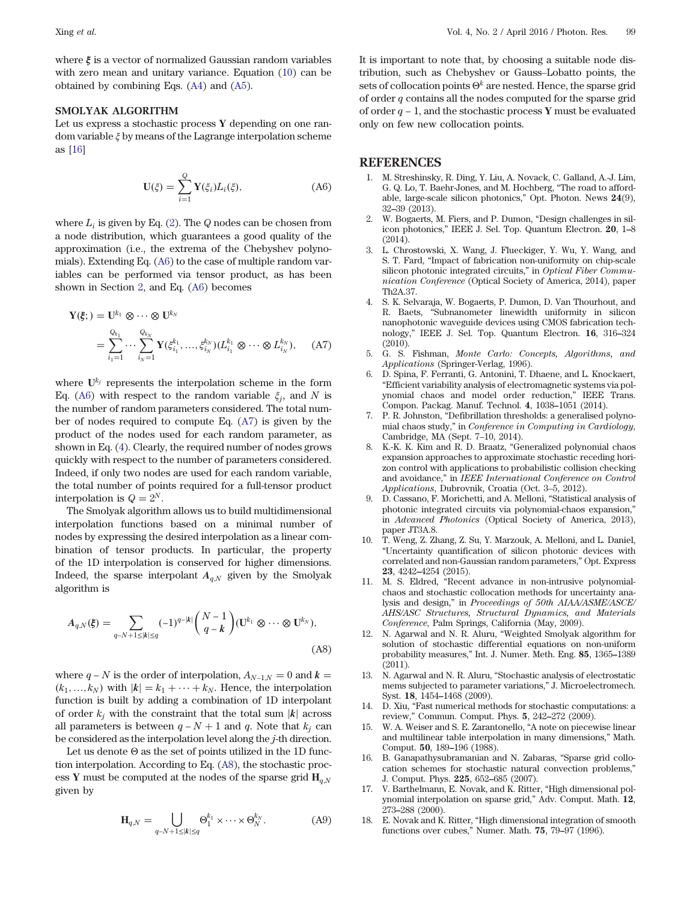<span id="page-6-0"></span>where  $\xi$  is a vector of normalized Gaussian random variables with zero mean and unitary variance. Equation ([10\)](#page-3-0) can be obtained by combining Eqs. ([A4](#page-5-0)) and ([A5](#page-5-0)).

#### SMOLYAK ALGORITHM

Let us express a stochastic process Y depending on one random variable ξ by means of the Lagrange interpolation scheme as [16]

$$
\mathbf{U}(\xi) = \sum_{i=1}^{Q} \mathbf{Y}(\xi_i) L_i(\xi), \tag{A6}
$$

where  $L_i$  is given by Eq. [\(2\)](#page-1-0). The Q nodes can be chosen from a node distribution, which guarantees a good quality of the approximation (i.e., the extrema of the Chebyshev polynomials). Extending Eq. (A6) to the case of multiple random variables can be performed via tensor product, as has been shown in Section [2](#page-0-0), and Eq. (A6) becomes

$$
\mathbf{Y}(\xi; \mathbf{y}) = \mathbf{U}^{k_1} \otimes \cdots \otimes \mathbf{U}^{k_N}
$$
  
= 
$$
\sum_{i_1=1}^{Q_{k_1}} \cdots \sum_{i_N=1}^{Q_{k_N}} \mathbf{Y}(\xi_{i_1}^{k_1}, \dots, \xi_{i_N}^{k_N}) (L_{i_1}^{k_1} \otimes \cdots \otimes L_{i_N}^{k_N}), \quad \text{(A7)}
$$

where  $U^{k_j}$  represents the interpolation scheme in the form Eq. (A6) with respect to the random variable  $\xi_i$ , and N is the number of random parameters considered. The total number of nodes required to compute Eq. (A7) is given by the product of the nodes used for each random parameter, as shown in Eq. [\(4\)](#page-1-0). Clearly, the required number of nodes grows quickly with respect to the number of parameters considered. Indeed, if only two nodes are used for each random variable, the total number of points required for a full-tensor product interpolation is  $Q = 2^N$ .

The Smolyak algorithm allows us to build multidimensional interpolation functions based on a minimal number of nodes by expressing the desired interpolation as a linear combination of tensor products. In particular, the property of the 1D interpolation is conserved for higher dimensions. Indeed, the sparse interpolant  $A_{q,N}$  given by the Smolyak algorithm is

$$
A_{q,N}(\xi) = \sum_{q-N+1 \le |k| \le q} (-1)^{q-|k|} \binom{N-1}{q-k} (\mathbf{U}^{k_1} \otimes \cdots \otimes \mathbf{U}^{k_N}),
$$
\n(A8)

where  $q - N$  is the order of interpolation,  $A_{N-1,N} = 0$  and  $k =$  $(k_1, ..., k_N)$  with  $|k| = k_1 + \cdots + k_N$ . Hence, the interpolation function is built by adding a combination of 1D interpolant of order  $k_i$  with the constraint that the total sum  $|k|$  across all parameters is between  $q - N + 1$  and q. Note that  $k_i$  can be considered as the interpolation level along the j-th direction.

Let us denote  $\Theta$  as the set of points utilized in the 1D function interpolation. According to Eq. (A8), the stochastic process Y must be computed at the nodes of the sparse grid  $H_{a,N}$ given by

$$
\mathbf{H}_{q,N} = \bigcup_{q-N+1 \le |k| \le q} \Theta_1^{k_1} \times \cdots \times \Theta_N^{k_N}.
$$
 (A9)

It is important to note that, by choosing a suitable node distribution, such as Chebyshev or Gauss–Lobatto points, the sets of collocation points  $\Theta^k$  are nested. Hence, the sparse grid of order  $q$  contains all the nodes computed for the sparse grid of order q <sup>−</sup> <sup>1</sup>, and the stochastic process <sup>Y</sup> must be evaluated only on few new collocation points.

#### REFERENCES

- 1. M. Streshinsky, R. Ding, Y. Liu, A. Novack, C. Galland, A.-J. Lim, G. Q. Lo, T. Baehr-Jones, and M. Hochberg, "The road to afford-<br>able, large-scale silicon photonics," Opt. Photon. News  $24(9)$ ,<br>32–39 (2013). able, large-scale silicon photonics," Opt. Photon. News 24(9),
- 2. W. Bogaerts, M. Fiers, and P. Dumon, "Design challenges in sil-icon photonics," IEEE J. Sel. Top. Quantum Electron. <sup>20</sup>, 1–<sup>8</sup> (2014).
- 3. L. Chrostowski, X. Wang, J. Flueckiger, Y. Wu, Y. Wang, and S. T. Fard, "Impact of fabrication non-uniformity on chip-scale silicon photonic integrated circuits," in Optical Fiber Communication Conference (Optical Society of America, 2014), paper Th2A.37.
- 4. S. K. Selvaraja, W. Bogaerts, P. Dumon, D. Van Thourhout, and R. Baets, "Subnanometer linewidth uniformity in silicon nanophotonic waveguide devices using CMOS fabrication tech-R. Baets, "Subnanometer linewidth uniformity in silicon<br>nanophotonic waveguide devices using CMOS fabrication tech-<br>nology," IEEE J. Sel. Top. Quantum Electron. **16**, 316–324 (2010).
- 5. G. S. Fishman, Monte Carlo: Concepts, Algorithms, and Applications (Springer-Verlag, 1996).
- 6. D. Spina, F. Ferranti, G. Antonini, T. Dhaene, and L. Knockaert, "Efficient variability analysis of electromagnetic systems via pol-"Efficient variability analysis of electromagnetic systems via polynomial chaos and model order reduction," IEEE Trans.<br>Compon. Packag. Manuf. Technol. 4, 1038–1051 (2014). 7. P. R. Johnston, "Defibrillation thresholds: a generalised polyno-
- mial chaos study," in Conference in Computing in Cardiology, Cambridge, MA (Sept. 7–10, 2014).
- 8. K.-K. K. Kim and R. D. Braatz, "Generalized polynomial chaos expansion approaches to approximate stochastic receding horizon control with applications to probabilistic collision checking and avoidance," in IEEE International Conference on Control Applications, Dubrovnik, Croatia (Oct. 3–5, 2012).
- 9. D. Cassano, F. Morichetti, and A. Melloni, "Statistical analysis of photonic integrated circuits via polynomial-chaos expansion," in Advanced Photonics (Optical Society of America, 2013), paper JT3A.8.
- 10. T. Weng, Z. Zhang, Z. Su, Y. Marzouk, A. Melloni, and L. Daniel, "Uncertainty quantification of silicon photonic devices with "Uncertainty quantification of silicon photonic devices with<br>correlated and non-Gaussian random parameters," Opt. Express<br>**23**, 4242–4254 (2015).
- 11. M. S. Eldred, "Recent advance in non-intrusive polynomialchaos and stochastic collocation methods for uncertainty analysis and design," in Proceedings of 50th AIAA/ASME/ASCE/ AHS/ASC Structures, Structural Dynamics, and Materials Conference, Palm Springs, California (May, 2009).
- 12. N. Agarwal and N. R. Aluru, "Weighted Smolyak algorithm for solution of stochastic differential equations on non-uniform N. Agarwal and N. R. Aluru, "Weighted Smolyak algorithm for<br>solution of stochastic differential equations on non-uniform<br>probability measures," Int. J. Numer. Meth. Eng. **85**, 1365–1389 (2011).
- 13. N. Agarwal and N. R. Aluru, "Stochastic analysis of electrostatic N. Agarwal and N. R. Aluru, "Stochastic analysis of electrostatic<br>mems subjected to parameter variations," J. Microelectromech.<br>Syst. 18, 1454–1468 (2009).
- 14. D. Xiu, "Fast numerical methods for stochastic computations: a Syst. 18, 1454–1468 (2009).<br>D. Xiu, "Fast numerical methods for stochastic computeriew," Commun. Comput. Phys. 5, 242–272 (2009).
- 15. W. A. Weiser and S. E. Zarantonello, "A note on piecewise linear W. A. Weiser and S. E. Zarantonello, "A note on piecewise linear<br>and multilinear table interpolation in many dimensions," Math.<br>Comput. **50**, 189–196 (1988).
- 16. B. Ganapathysubramanian and N. Zabaras, "Sparse grid collo-B. Ganapathysubramanian and N. Zabaras, "Sparse grid collocation schemes for stochastic natural convection problems,"<br>J. Comput. Phys. 225, 652–685 (2007).
- 17. V. Barthelmann, E. Novak, and K. Ritter, "High dimensional pol-V. Barthelmann, E. Novak, and K. Ritter, "High dimensional polynomial interpolation on sparse grid," Adv. Comput. Math. 12,<br>273–288 (2000).
- 18. E. Novak and K. Ritter, "High dimensional integration of smooth 273–288 (2000).<br>E. Novak and K. Ritter, "High dimensional integration of functions over cubes," Numer. Math. **75**, 79–97 (1996).